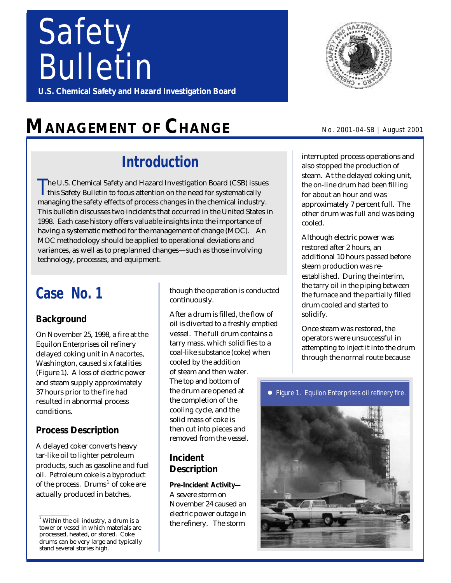# *Safety Bulletin*

**U.S. Chemical Safety and Hazard Investigation Board**

## **MANAGEMENT OF CHANGE**

### **Introduction**

T he U.S. Chemical Safety and Hazard Investigation Board (CSB) issues this Safety Bulletin to focus attention on the need for systematically managing the safety effects of process changes in the chemical industry. This bulletin discusses two incidents that occurred in the United States in 1998. Each case history offers valuable insights into the importance of having a systematic method for the management of change (MOC). An MOC methodology should be applied to operational deviations and variances, as well as to preplanned changes—such as those involving technology, processes, and equipment.

### **Case No. 1**

### **Background**

On November 25, 1998, a fire at the Equilon Enterprises oil refinery delayed coking unit in Anacortes, Washington, caused six fatalities (Figure 1). A loss of electric power and steam supply approximately 37 hours prior to the fire had resulted in abnormal process conditions.

### **Process Description**

A delayed coker converts heavy tar-like oil to lighter petroleum products, such as gasoline and fuel oil. Petroleum coke is a byproduct of the process. Drums<sup>1</sup> of coke are actually produced in batches,

though the operation is conducted continuously.

After a drum is filled, the flow of oil is diverted to a freshly emptied vessel. The full drum contains a tarry mass, which solidifies to a coal-like substance (coke) when cooled by the addition of steam and then water. The top and bottom of the drum are opened at the completion of the cooling cycle, and the solid mass of coke is then cut into pieces and removed from the vessel.

### **Incident Description**

**Pre-Incident Activity—** A severe storm on November 24 caused an electric power outage in the refinery. The storm



#### No. 2001-04-SB | August 2001

interrupted process operations and also stopped the production of steam. At the delayed coking unit, the on-line drum had been filling for about an hour and was approximately 7 percent full. The other drum was full and was being cooled.

Although electric power was restored after 2 hours, an additional 10 hours passed before steam production was reestablished. During the interim, the tarry oil in the piping between the furnace and the partially filled drum cooled and started to solidify.

Once steam was restored, the operators were unsuccessful in attempting to inject it into the drum through the normal route because

**•** Figure 1. Equilon Enterprises oil refinery fire.



 $^{\rm ^{\rm 1}}$  Within the oil industry, a drum is a tower or vessel in which materials are processed, heated, or stored. Coke drums can be very large and typically stand several stories high.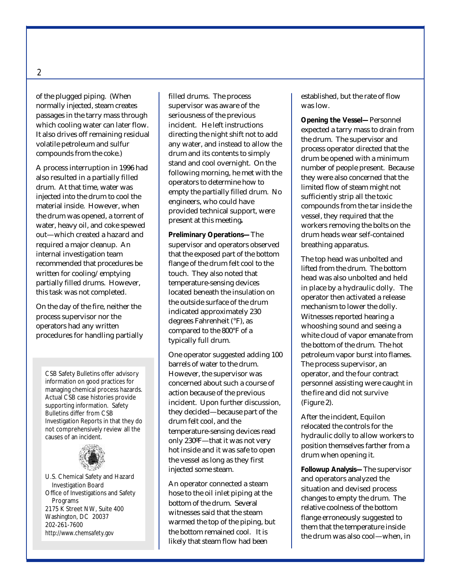of the plugged piping. (When normally injected, steam creates passages in the tarry mass through which cooling water can later flow. It also drives off remaining residual volatile petroleum and sulfur compounds from the coke.)

A process interruption in 1996 had also resulted in a partially filled drum. At that time, water was injected into the drum to cool the material inside. However, when the drum was opened, a torrent of water, heavy oil, and coke spewed out—which created a hazard and required a major cleanup. An internal investigation team recommended that procedures be written for cooling/emptying partially filled drums. However, this task was not completed.

On the day of the fire, neither the process supervisor nor the operators had any written procedures for handling partially

CSB Safety Bulletins offer advisory information on good practices for managing chemical process hazards. Actual CSB case histories provide supporting information. Safety Bulletins differ from CSB Investigation Reports in that they do not comprehensively review all the causes of an incident.



U.S. Chemical Safety and Hazard Investigation Board Office of Investigations and Safety Programs 2175 K Street NW, Suite 400 Washington, DC 20037 202-261-7600 *http://www.chemsafety.gov*

filled drums. The process supervisor was aware of the seriousness of the previous incident. He left instructions directing the night shift not to add any water, and instead to allow the drum and its contents to simply stand and cool overnight. On the following morning, he met with the operators to determine how to empty the partially filled drum. No engineers, who could have provided technical support, were present at this meeting**.**

**Preliminary Operations—**The supervisor and operators observed that the exposed part of the bottom flange of the drum felt cool to the touch. They also noted that temperature-sensing devices located beneath the insulation on the outside surface of the drum indicated approximately 230 degrees Fahrenheit (°F), as compared to the 800°F of a typically full drum.

One operator suggested adding 100 barrels of water to the drum. However, the supervisor was concerned about such a course of action because of the previous incident. Upon further discussion, they decided—because part of the drum felt cool, and the temperature-sensing devices read only 230ºF—that it was not very hot inside and it was safe to open the vessel as long as they first injected some steam.

An operator connected a steam hose to the oil inlet piping at the bottom of the drum. Several witnesses said that the steam warmed the top of the piping, but the bottom remained cool. It is likely that steam flow had been

established, but the rate of flow was low.

**Opening the Vessel—**Personnel expected a tarry mass to drain from the drum. The supervisor and process operator directed that the drum be opened with a minimum number of people present. Because they were also concerned that the limited flow of steam might not sufficiently strip all the toxic compounds from the tar inside the vessel, they required that the workers removing the bolts on the drum heads wear self-contained breathing apparatus.

The top head was unbolted and lifted from the drum. The bottom head was also unbolted and held in place by a hydraulic dolly. The operator then activated a release mechanism to lower the dolly. Witnesses reported hearing a whooshing sound and seeing a white cloud of vapor emanate from the bottom of the drum. The hot petroleum vapor burst into flames. The process supervisor, an operator, and the four contract personnel assisting were caught in the fire and did not survive (Figure 2).

After the incident, Equilon relocated the controls for the hydraulic dolly to allow workers to position themselves farther from a drum when opening it.

**Followup Analysis—**The supervisor and operators analyzed the situation and devised process changes to empty the drum. The relative coolness of the bottom flange erroneously suggested to them that the temperature inside the drum was also cool—when, in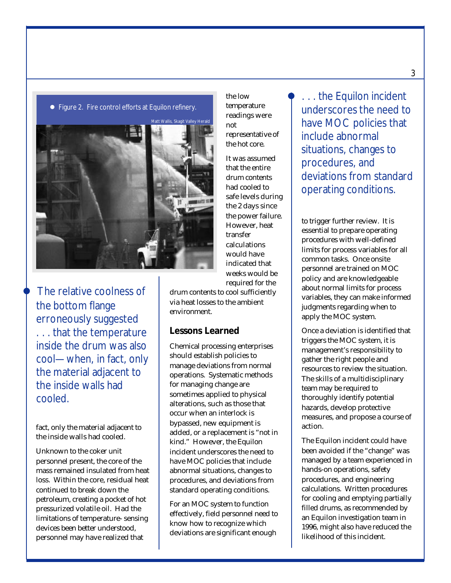



The relative coolness of the bottom flange erroneously suggested . . . that the temperature inside the drum was also cool—when, in fact, only the material adjacent to the inside walls had cooled.

fact, only the material adjacent to the inside walls had cooled.

Unknown to the coker unit personnel present, the core of the mass remained insulated from heat loss. Within the core, residual heat continued to break down the petroleum, creating a pocket of hot pressurized volatile oil. Had the limitations of temperature- sensing devices been better understood, personnel may have realized that

the low temperature readings were not representative of the hot core.

It was assumed that the entire drum contents had cooled to safe levels during the 2 days since the power failure. However, heat transfer calculations would have indicated that weeks would be required for the

drum contents to cool sufficiently via heat losses to the ambient environment.

#### **Lessons Learned**

Chemical processing enterprises should establish policies to manage deviations from normal operations. Systematic methods for managing change are sometimes applied to physical alterations, such as those that occur when an interlock is bypassed, new equipment is added, or a replacement is "not in kind." However, the Equilon incident underscores the need to have MOC policies that include abnormal situations, changes to procedures, and deviations from standard operating conditions.

For an MOC system to function effectively, field personnel need to know how to recognize which deviations are significant enough

l . . . the Equilon incident underscores the need to have MOC policies that include abnormal situations, changes to procedures, and deviations from standard operating conditions.

to trigger further review. It is essential to prepare operating procedures with well-defined limits for process variables for all common tasks. Once onsite personnel are trained on MOC policy and are knowledgeable about normal limits for process variables, they can make informed judgments regarding when to apply the MOC system.

Once a deviation is identified that triggers the MOC system, it is management's responsibility to gather the right people and resources to review the situation. The skills of a multidisciplinary team may be required to thoroughly identify potential hazards, develop protective measures, and propose a course of action.

The Equilon incident could have been avoided if the "change" was managed by a team experienced in hands-on operations, safety procedures, and engineering calculations. Written procedures for cooling and emptying partially filled drums, as recommended by an Equilon investigation team in 1996, might also have reduced the likelihood of this incident.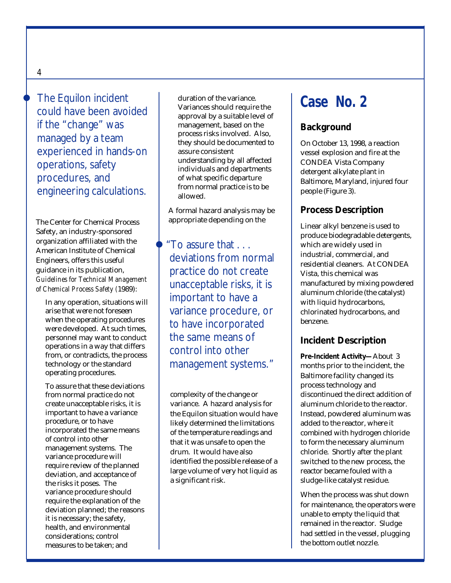The Equilon incident could have been avoided if the "change" was managed by a team experienced in hands-on operations, safety procedures, and engineering calculations.

The Center for Chemical Process Safety, an industry-sponsored organization affiliated with the American Institute of Chemical Engineers, offers this useful guidance in its publication, *Guidelines for Technical Management of Chemical Process Safety (*1989):

In any operation, situations will arise that were not foreseen when the operating procedures were developed. At such times, personnel may want to conduct operations in a way that differs from, or contradicts, the process technology or the standard operating procedures.

To assure that these deviations from normal practice do not create unacceptable risks, it is important to have a variance procedure, or to have incorporated the same means of control into other management systems. The variance procedure will require review of the planned deviation, and acceptance of the risks it poses. The variance procedure should require the explanation of the deviation planned; the reasons it is necessary; the safety, health, and environmental considerations; control measures to be taken; and

duration of the variance. Variances should require the approval by a suitable level of management, based on the process risks involved. Also, they should be documented to assure consistent understanding by all affected individuals and departments of what specific departure from normal practice is to be allowed.

A formal hazard analysis may be appropriate depending on the

"To assure that . . . deviations from normal practice do not create unacceptable risks, it is important to have a variance procedure, or to have incorporated the same means of control into other management systems."

complexity of the change or variance. A hazard analysis for the Equilon situation would have likely determined the limitations of the temperature readings and that it was unsafe to open the drum. It would have also identified the possible release of a large volume of very hot liquid as a significant risk.

### **Case No. 2**

### **Background**

On October 13, 1998, a reaction vessel explosion and fire at the CONDEA Vista Company detergent alkylate plant in Baltimore, Maryland, injured four people (Figure 3).

### **Process Description**

Linear alkyl benzene is used to produce biodegradable detergents, which are widely used in industrial, commercial, and residential cleaners. At CONDEA Vista, this chemical was manufactured by mixing powdered aluminum chloride (the catalyst) with liquid hydrocarbons, chlorinated hydrocarbons, and benzene.

#### **Incident Description**

**Pre-Incident Activity—**About 3 months prior to the incident, the Baltimore facility changed its process technology and discontinued the direct addition of aluminum chloride to the reactor. Instead, powdered aluminum was added to the reactor, where it combined with hydrogen chloride to form the necessary aluminum chloride. Shortly after the plant switched to the new process, the reactor became fouled with a sludge-like catalyst residue.

When the process was shut down for maintenance, the operators were unable to empty the liquid that remained in the reactor. Sludge had settled in the vessel, plugging the bottom outlet nozzle.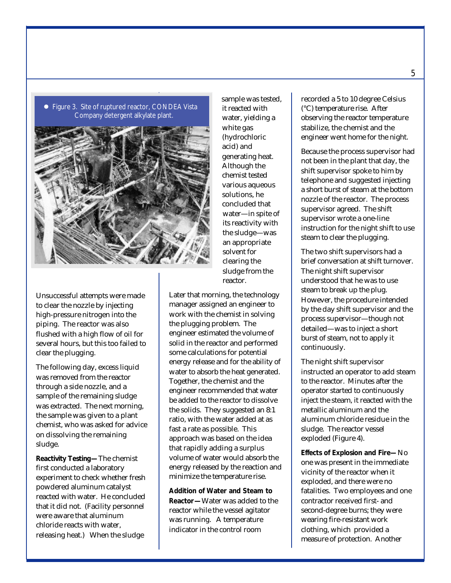



Unsuccessful attempts were made to clear the nozzle by injecting high-pressure nitrogen into the piping. The reactor was also flushed with a high flow of oil for several hours, but this too failed to clear the plugging.

The following day, excess liquid was removed from the reactor through a side nozzle, and a sample of the remaining sludge was extracted. The next morning, the sample was given to a plant chemist, who was asked for advice on dissolving the remaining sludge.

**Reactivity Testing—**The chemist first conducted a laboratory experiment to check whether fresh powdered aluminum catalyst reacted with water. He concluded that it did not. (Facility personnel were aware that aluminum chloride reacts with water, releasing heat.) When the sludge

sample was tested, it reacted with water, yielding a white gas (hydrochloric acid) and generating heat. Although the chemist tested various aqueous solutions, he concluded that water—in spite of its reactivity with the sludge—was an appropriate solvent for clearing the sludge from the reactor.

Later that morning, the technology manager assigned an engineer to work with the chemist in solving the plugging problem. The engineer estimated the volume of solid in the reactor and performed some calculations for potential energy release and for the ability of water to absorb the heat generated. Together, the chemist and the engineer recommended that water be added to the reactor to dissolve the solids. They suggested an 8:1 ratio, with the water added at as fast a rate as possible. This approach was based on the idea that rapidly adding a surplus volume of water would absorb the energy released by the reaction and minimize the temperature rise.

**Addition of Water and Steam to Reactor—**Water was added to the reactor while the vessel agitator was running. A temperature indicator in the control room

recorded a 5 to 10 degree Celsius (°C) temperature rise. After observing the reactor temperature stabilize, the chemist and the engineer went home for the night.

Because the process supervisor had not been in the plant that day, the shift supervisor spoke to him by telephone and suggested injecting a short burst of steam at the bottom nozzle of the reactor. The process supervisor agreed. The shift supervisor wrote a one-line instruction for the night shift to use steam to clear the plugging.

The two shift supervisors had a brief conversation at shift turnover. The night shift supervisor understood that he was to use steam to break up the plug. However, the procedure intended by the day shift supervisor and the process supervisor—though not detailed—was to inject a short burst of steam, not to apply it continuously.

The night shift supervisor instructed an operator to add steam to the reactor. Minutes after the operator started to continuously inject the steam, it reacted with the metallic aluminum and the aluminum chloride residue in the sludge. The reactor vessel exploded (Figure 4).

**Effects of Explosion and Fire***—*No one was present in the immediate vicinity of the reactor when it exploded, and there were no fatalities. Two employees and one contractor received first- and second-degree burns; they were wearing fire-resistant work clothing, which provided a measure of protection. Another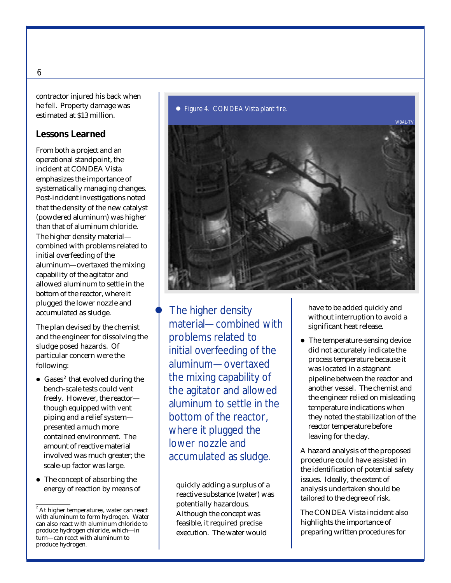contractor injured his back when he fell. Property damage was estimated at \$13 million.

#### **Lessons Learned**

From both a project and an operational standpoint, the incident at CONDEA Vista emphasizes the importance of systematically managing changes. Post-incident investigations noted that the density of the new catalyst (powdered aluminum) was higher than that of aluminum chloride. The higher density material combined with problems related to initial overfeeding of the aluminum—overtaxed the mixing capability of the agitator and allowed aluminum to settle in the bottom of the reactor, where it plugged the lower nozzle and accumulated as sludge.

The plan devised by the chemist and the engineer for dissolving the sludge posed hazards. Of particular concern were the following:

- Gases<sup>2</sup> that evolved during the bench-scale tests could vent freely. However, the reactor though equipped with vent piping and a relief system presented a much more contained environment. The amount of reactive material involved was much greater; the scale-up factor was large.
- $\bullet$  The concept of absorbing the energy of reaction by means of quickly adding a surplus of a

#### ● Figure 4. CONDEA Vista plant fire.



The higher density material—combined with problems related to initial overfeeding of the aluminum—overtaxed the mixing capability of the agitator and allowed aluminum to settle in the bottom of the reactor, where it plugged the lower nozzle and accumulated as sludge.

reactive substance (water) was potentially hazardous. Although the concept was feasible, it required precise execution. The water would

have to be added quickly and without interruption to avoid a significant heat release.

• The temperature-sensing device did not accurately indicate the process temperature because it was located in a stagnant pipeline between the reactor and another vessel. The chemist and the engineer relied on misleading temperature indications when they noted the stabilization of the reactor temperature before leaving for the day.

A hazard analysis of the proposed procedure could have assisted in the identification of potential safety issues. Ideally, the extent of analysis undertaken should be tailored to the degree of risk.

The CONDEA Vista incident also highlights the importance of preparing written procedures for

<sup>2</sup> At higher temperatures, water can react with aluminum to form hydrogen. Water can also react with aluminum chloride to produce hydrogen chloride, which—in turn—can react with aluminum to produce hydrogen.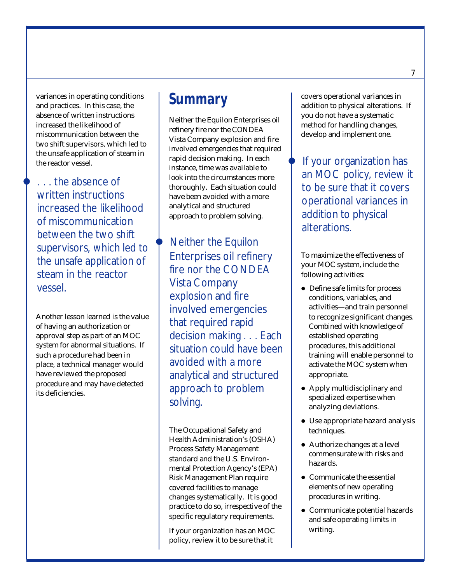variances in operating conditions and practices. In this case, the absence of written instructions increased the likelihood of miscommunication between the two shift supervisors, which led to the unsafe application of steam in the reactor vessel.

l . . . the absence of written instructions increased the likelihood of miscommunication between the two shift supervisors, which led to the unsafe application of steam in the reactor vessel.

Another lesson learned is the value of having an authorization or approval step as part of an MOC system for abnormal situations. If such a procedure had been in place, a technical manager would have reviewed the proposed procedure and may have detected its deficiencies.

### **Summary**

Neither the Equilon Enterprises oil refinery fire nor the CONDEA Vista Company explosion and fire involved emergencies that required rapid decision making. In each instance, time was available to look into the circumstances more thoroughly. Each situation could have been avoided with a more analytical and structured approach to problem solving.

Neither the Equilon Enterprises oil refinery fire nor the CONDEA Vista Company explosion and fire involved emergencies that required rapid decision making . . . Each situation could have been avoided with a more analytical and structured approach to problem solving.

The Occupational Safety and Health Administration's (OSHA) Process Safety Management standard and the U.S. Environmental Protection Agency's (EPA) Risk Management Plan require covered facilities to manage changes systematically. It is good practice to do so, irrespective of the specific regulatory requirements.

If your organization has an MOC policy, review it to be sure that it

covers operational variances in addition to physical alterations. If you do not have a systematic method for handling changes, develop and implement one.

If your organization has an MOC policy, review it to be sure that it covers operational variances in addition to physical alterations.

To maximize the effectiveness of your MOC system, include the following activities:

- Define safe limits for process conditions, variables, and activities—and train personnel to recognize significant changes. Combined with knowledge of established operating procedures, this additional training will enable personnel to activate the MOC system when appropriate.
- Apply multidisciplinary and specialized expertise when analyzing deviations.
- Use appropriate hazard analysis techniques.
- $\bullet$  Authorize changes at a level commensurate with risks and hazards.
- $\bullet$  Communicate the essential elements of new operating procedures in writing.
- **Communicate potential hazards** and safe operating limits in writing.